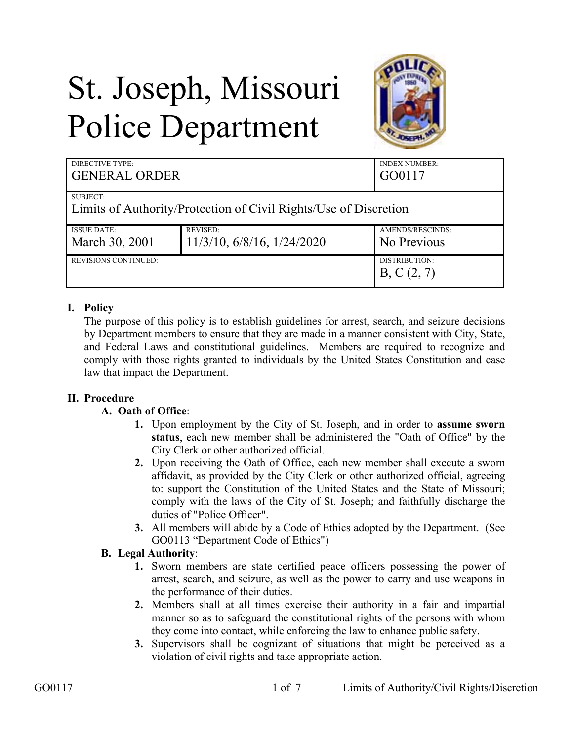# St. Joseph, Missouri Police Department



| DIRECTIVE TYPE:<br><b>GENERAL ORDER</b>                          |                            | <b>INDEX NUMBER:</b><br>GO0117 |
|------------------------------------------------------------------|----------------------------|--------------------------------|
| SUBJECT:                                                         |                            |                                |
| Limits of Authority/Protection of Civil Rights/Use of Discretion |                            |                                |
| <b>ISSUE DATE:</b>                                               | <b>REVISED:</b>            | AMENDS/RESCINDS:               |
| March 30, 2001                                                   | 11/3/10, 6/8/16, 1/24/2020 | No Previous                    |
| <b>REVISIONS CONTINUED:</b>                                      |                            | DISTRIBUTION:                  |
|                                                                  |                            | B, C(2, 7)                     |

# **I. Policy**

The purpose of this policy is to establish guidelines for arrest, search, and seizure decisions by Department members to ensure that they are made in a manner consistent with City, State, and Federal Laws and constitutional guidelines. Members are required to recognize and comply with those rights granted to individuals by the United States Constitution and case law that impact the Department.

## **II. Procedure**

## **A. Oath of Office**:

- **1.** Upon employment by the City of St. Joseph, and in order to **assume sworn status**, each new member shall be administered the "Oath of Office" by the City Clerk or other authorized official.
- **2.** Upon receiving the Oath of Office, each new member shall execute a sworn affidavit, as provided by the City Clerk or other authorized official, agreeing to: support the Constitution of the United States and the State of Missouri; comply with the laws of the City of St. Joseph; and faithfully discharge the duties of "Police Officer".
- **3.** All members will abide by a Code of Ethics adopted by the Department. (See GO0113 "Department Code of Ethics")

## **B. Legal Authority**:

- **1.** Sworn members are state certified peace officers possessing the power of arrest, search, and seizure, as well as the power to carry and use weapons in the performance of their duties.
- **2.** Members shall at all times exercise their authority in a fair and impartial manner so as to safeguard the constitutional rights of the persons with whom they come into contact, while enforcing the law to enhance public safety.
- **3.** Supervisors shall be cognizant of situations that might be perceived as a violation of civil rights and take appropriate action.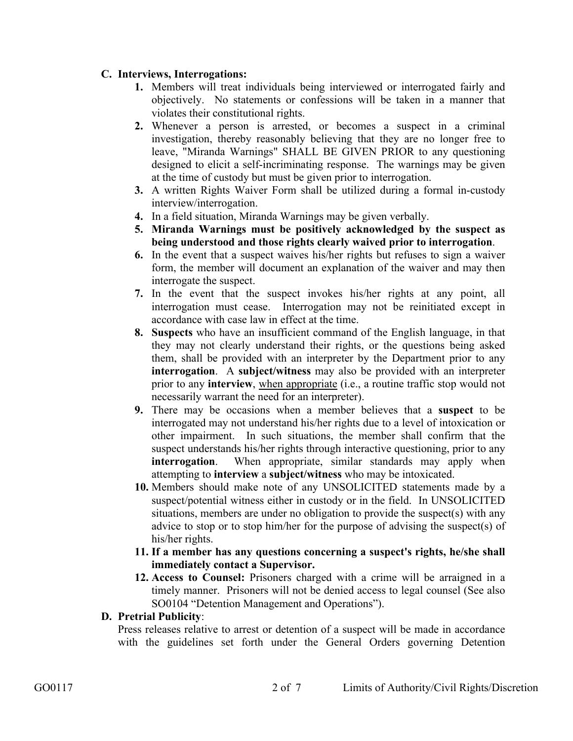## **C. Interviews, Interrogations:**

- **1.** Members will treat individuals being interviewed or interrogated fairly and objectively. No statements or confessions will be taken in a manner that violates their constitutional rights.
- **2.** Whenever a person is arrested, or becomes a suspect in a criminal investigation, thereby reasonably believing that they are no longer free to leave, "Miranda Warnings" SHALL BE GIVEN PRIOR to any questioning designed to elicit a self-incriminating response. The warnings may be given at the time of custody but must be given prior to interrogation.
- **3.** A written Rights Waiver Form shall be utilized during a formal in-custody interview/interrogation.
- **4.** In a field situation, Miranda Warnings may be given verbally.
- **5. Miranda Warnings must be positively acknowledged by the suspect as being understood and those rights clearly waived prior to interrogation**.
- **6.** In the event that a suspect waives his/her rights but refuses to sign a waiver form, the member will document an explanation of the waiver and may then interrogate the suspect.
- **7.** In the event that the suspect invokes his/her rights at any point, all interrogation must cease. Interrogation may not be reinitiated except in accordance with case law in effect at the time.
- **8. Suspects** who have an insufficient command of the English language, in that they may not clearly understand their rights, or the questions being asked them, shall be provided with an interpreter by the Department prior to any **interrogation**. A **subject/witness** may also be provided with an interpreter prior to any **interview**, when appropriate (i.e., a routine traffic stop would not necessarily warrant the need for an interpreter).
- **9.** There may be occasions when a member believes that a **suspect** to be interrogated may not understand his/her rights due to a level of intoxication or other impairment. In such situations, the member shall confirm that the suspect understands his/her rights through interactive questioning, prior to any **interrogation**. When appropriate, similar standards may apply when attempting to **interview** a **subject/witness** who may be intoxicated.
- **10.** Members should make note of any UNSOLICITED statements made by a suspect/potential witness either in custody or in the field. In UNSOLICITED situations, members are under no obligation to provide the suspect(s) with any advice to stop or to stop him/her for the purpose of advising the suspect(s) of his/her rights.
- **11. If a member has any questions concerning a suspect's rights, he/she shall immediately contact a Supervisor.**
- **12. Access to Counsel:** Prisoners charged with a crime will be arraigned in a timely manner. Prisoners will not be denied access to legal counsel (See also SO0104 "Detention Management and Operations").

#### **D. Pretrial Publicity**:

Press releases relative to arrest or detention of a suspect will be made in accordance with the guidelines set forth under the General Orders governing Detention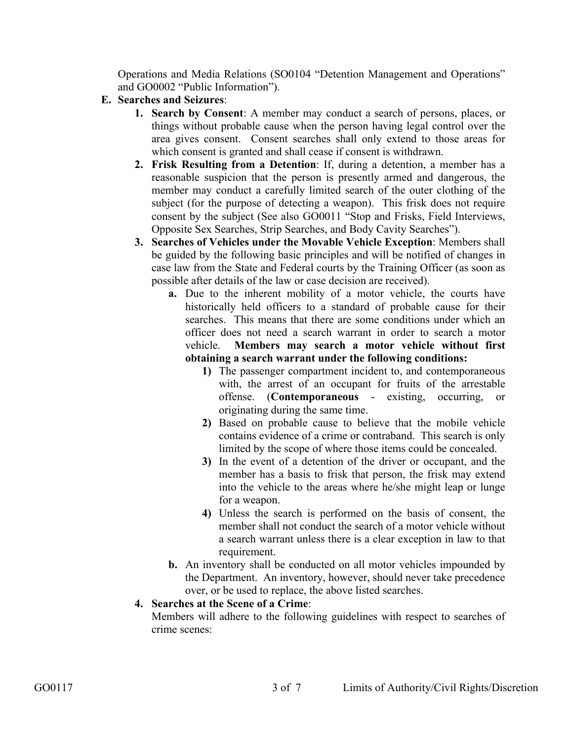Operations and Media Relations (SO0104 "Detention Management and Operations" and GO0002 "Public Information").

- **E. Searches and Seizures**:
	- **1. Search by Consent**: A member may conduct a search of persons, places, or things without probable cause when the person having legal control over the area gives consent. Consent searches shall only extend to those areas for which consent is granted and shall cease if consent is withdrawn.
	- **2. Frisk Resulting from a Detention**: If, during a detention, a member has a reasonable suspicion that the person is presently armed and dangerous, the member may conduct a carefully limited search of the outer clothing of the subject (for the purpose of detecting a weapon). This frisk does not require consent by the subject (See also GO0011 "Stop and Frisks, Field Interviews, Opposite Sex Searches, Strip Searches, and Body Cavity Searches").
	- **3. Searches of Vehicles under the Movable Vehicle Exception**: Members shall be guided by the following basic principles and will be notified of changes in case law from the State and Federal courts by the Training Officer (as soon as possible after details of the law or case decision are received).
		- **a.** Due to the inherent mobility of a motor vehicle, the courts have historically held officers to a standard of probable cause for their searches. This means that there are some conditions under which an officer does not need a search warrant in order to search a motor vehicle. **Members may search a motor vehicle without first obtaining a search warrant under the following conditions:** 
			- **1)** The passenger compartment incident to, and contemporaneous with, the arrest of an occupant for fruits of the arrestable offense. (**Contemporaneous** - existing, occurring, or originating during the same time.
			- **2)** Based on probable cause to believe that the mobile vehicle contains evidence of a crime or contraband. This search is only limited by the scope of where those items could be concealed.
			- **3)** In the event of a detention of the driver or occupant, and the member has a basis to frisk that person, the frisk may extend into the vehicle to the areas where he/she might leap or lunge for a weapon.
			- **4)** Unless the search is performed on the basis of consent, the member shall not conduct the search of a motor vehicle without a search warrant unless there is a clear exception in law to that requirement.
		- **b.** An inventory shall be conducted on all motor vehicles impounded by the Department. An inventory, however, should never take precedence over, or be used to replace, the above listed searches.

## **4. Searches at the Scene of a Crime**:

Members will adhere to the following guidelines with respect to searches of crime scenes: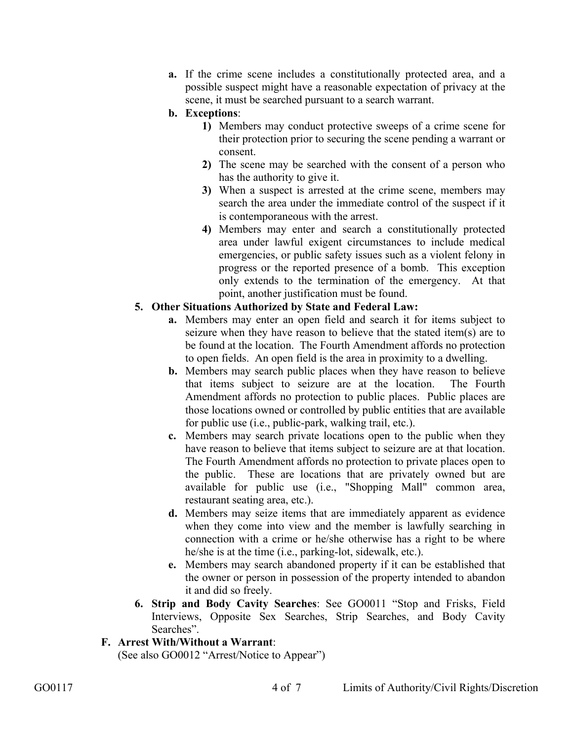**a.** If the crime scene includes a constitutionally protected area, and a possible suspect might have a reasonable expectation of privacy at the scene, it must be searched pursuant to a search warrant.

## **b. Exceptions**:

- **1)** Members may conduct protective sweeps of a crime scene for their protection prior to securing the scene pending a warrant or consent.
- **2)** The scene may be searched with the consent of a person who has the authority to give it.
- **3)** When a suspect is arrested at the crime scene, members may search the area under the immediate control of the suspect if it is contemporaneous with the arrest.
- **4)** Members may enter and search a constitutionally protected area under lawful exigent circumstances to include medical emergencies, or public safety issues such as a violent felony in progress or the reported presence of a bomb. This exception only extends to the termination of the emergency. At that point, another justification must be found.

# **5. Other Situations Authorized by State and Federal Law:**

- **a.** Members may enter an open field and search it for items subject to seizure when they have reason to believe that the stated item(s) are to be found at the location. The Fourth Amendment affords no protection to open fields. An open field is the area in proximity to a dwelling.
- **b.** Members may search public places when they have reason to believe that items subject to seizure are at the location. The Fourth Amendment affords no protection to public places. Public places are those locations owned or controlled by public entities that are available for public use (i.e., public-park, walking trail, etc.).
- **c.** Members may search private locations open to the public when they have reason to believe that items subject to seizure are at that location. The Fourth Amendment affords no protection to private places open to the public. These are locations that are privately owned but are available for public use (i.e., "Shopping Mall" common area, restaurant seating area, etc.).
- **d.** Members may seize items that are immediately apparent as evidence when they come into view and the member is lawfully searching in connection with a crime or he/she otherwise has a right to be where he/she is at the time (i.e., parking-lot, sidewalk, etc.).
- **e.** Members may search abandoned property if it can be established that the owner or person in possession of the property intended to abandon it and did so freely.
- **6. Strip and Body Cavity Searches**: See GO0011 "Stop and Frisks, Field Interviews, Opposite Sex Searches, Strip Searches, and Body Cavity Searches".

## **F. Arrest With/Without a Warrant**:

(See also GO0012 "Arrest/Notice to Appear")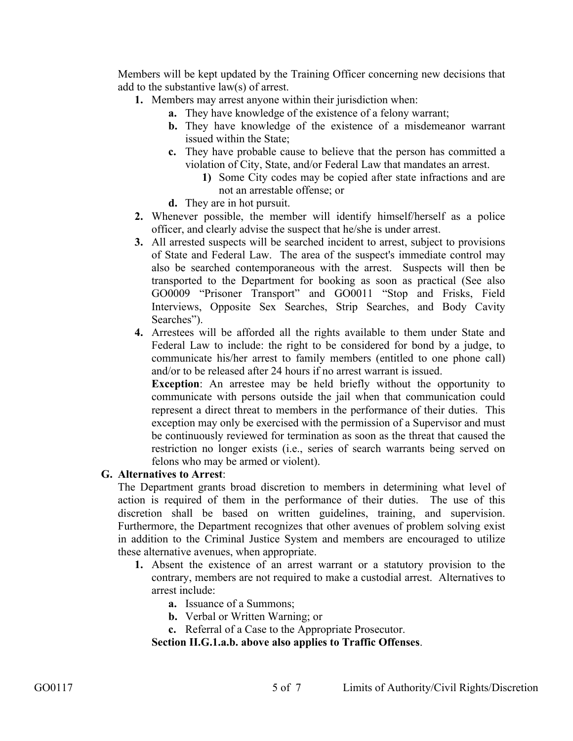Members will be kept updated by the Training Officer concerning new decisions that add to the substantive law(s) of arrest.

- **1.** Members may arrest anyone within their jurisdiction when:
	- **a.** They have knowledge of the existence of a felony warrant;
	- **b.** They have knowledge of the existence of a misdemeanor warrant issued within the State;
	- **c.** They have probable cause to believe that the person has committed a violation of City, State, and/or Federal Law that mandates an arrest.
		- **1)** Some City codes may be copied after state infractions and are not an arrestable offense; or
	- **d.** They are in hot pursuit.
- **2.** Whenever possible, the member will identify himself/herself as a police officer, and clearly advise the suspect that he/she is under arrest.
- **3.** All arrested suspects will be searched incident to arrest, subject to provisions of State and Federal Law. The area of the suspect's immediate control may also be searched contemporaneous with the arrest. Suspects will then be transported to the Department for booking as soon as practical (See also GO0009 "Prisoner Transport" and GO0011 "Stop and Frisks, Field Interviews, Opposite Sex Searches, Strip Searches, and Body Cavity Searches").
- **4.** Arrestees will be afforded all the rights available to them under State and Federal Law to include: the right to be considered for bond by a judge, to communicate his/her arrest to family members (entitled to one phone call) and/or to be released after 24 hours if no arrest warrant is issued.

**Exception**: An arrestee may be held briefly without the opportunity to communicate with persons outside the jail when that communication could represent a direct threat to members in the performance of their duties. This exception may only be exercised with the permission of a Supervisor and must be continuously reviewed for termination as soon as the threat that caused the restriction no longer exists (i.e., series of search warrants being served on felons who may be armed or violent).

#### **G. Alternatives to Arrest**:

The Department grants broad discretion to members in determining what level of action is required of them in the performance of their duties. The use of this discretion shall be based on written guidelines, training, and supervision. Furthermore, the Department recognizes that other avenues of problem solving exist in addition to the Criminal Justice System and members are encouraged to utilize these alternative avenues, when appropriate.

- **1.** Absent the existence of an arrest warrant or a statutory provision to the contrary, members are not required to make a custodial arrest. Alternatives to arrest include:
	- **a.** Issuance of a Summons;
	- **b.** Verbal or Written Warning; or
	- **c.** Referral of a Case to the Appropriate Prosecutor.

**Section II.G.1.a.b. above also applies to Traffic Offenses**.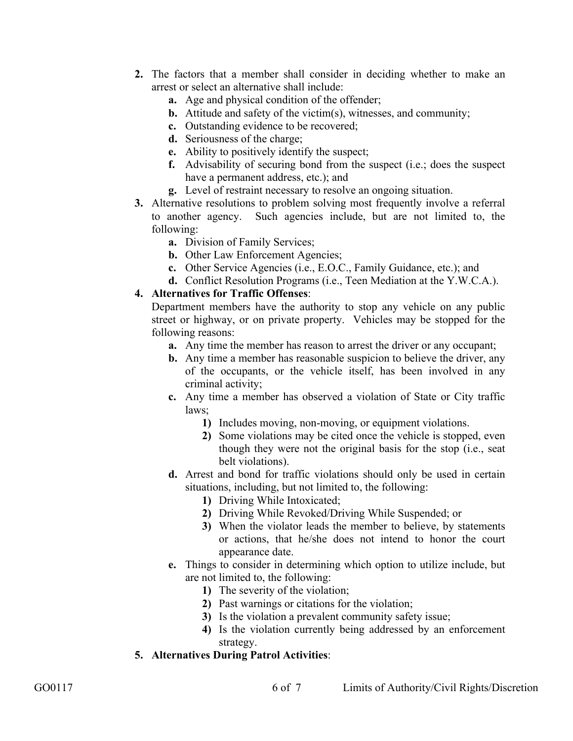- **2.** The factors that a member shall consider in deciding whether to make an arrest or select an alternative shall include:
	- **a.** Age and physical condition of the offender;
	- **b.** Attitude and safety of the victim(s), witnesses, and community;
	- **c.** Outstanding evidence to be recovered;
	- **d.** Seriousness of the charge;
	- **e.** Ability to positively identify the suspect;
	- **f.** Advisability of securing bond from the suspect (i.e.; does the suspect have a permanent address, etc.); and
	- **g.** Level of restraint necessary to resolve an ongoing situation.
- **3.** Alternative resolutions to problem solving most frequently involve a referral to another agency. Such agencies include, but are not limited to, the following:
	- **a.** Division of Family Services;
	- **b.** Other Law Enforcement Agencies;
	- **c.** Other Service Agencies (i.e., E.O.C., Family Guidance, etc.); and
	- **d.** Conflict Resolution Programs (i.e., Teen Mediation at the Y.W.C.A.).

#### **4. Alternatives for Traffic Offenses**:

Department members have the authority to stop any vehicle on any public street or highway, or on private property. Vehicles may be stopped for the following reasons:

- **a.** Any time the member has reason to arrest the driver or any occupant;
- **b.** Any time a member has reasonable suspicion to believe the driver, any of the occupants, or the vehicle itself, has been involved in any criminal activity;
- **c.** Any time a member has observed a violation of State or City traffic laws;
	- **1)** Includes moving, non-moving, or equipment violations.
	- **2)** Some violations may be cited once the vehicle is stopped, even though they were not the original basis for the stop (i.e., seat belt violations).
- **d.** Arrest and bond for traffic violations should only be used in certain situations, including, but not limited to, the following:
	- **1)** Driving While Intoxicated;
	- **2)** Driving While Revoked/Driving While Suspended; or
	- **3)** When the violator leads the member to believe, by statements or actions, that he/she does not intend to honor the court appearance date.
- **e.** Things to consider in determining which option to utilize include, but are not limited to, the following:
	- **1)** The severity of the violation;
	- **2)** Past warnings or citations for the violation;
	- **3)** Is the violation a prevalent community safety issue;
	- **4)** Is the violation currently being addressed by an enforcement strategy.
- **5. Alternatives During Patrol Activities**: